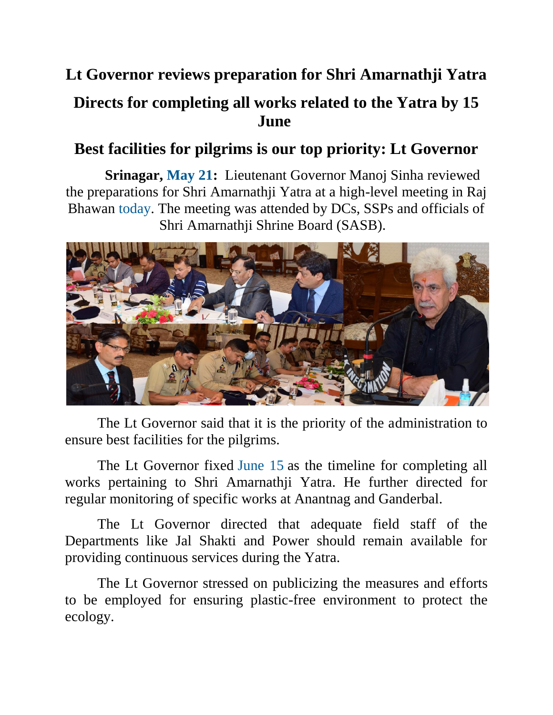## **Lt Governor reviews preparation for Shri Amarnathji Yatra**

## **Directs for completing all works related to the Yatra by 15 June**

## **Best facilities for pilgrims is our top priority: Lt Governor**

**Srinagar, May 21:** Lieutenant Governor Manoj Sinha reviewed the preparations for Shri Amarnathji Yatra at a high-level meeting in Raj Bhawan today. The meeting was attended by DCs, SSPs and officials of Shri Amarnathji Shrine Board (SASB).



The Lt Governor said that it is the priority of the administration to ensure best facilities for the pilgrims.

The Lt Governor fixed June 15 as the timeline for completing all works pertaining to Shri Amarnathji Yatra. He further directed for regular monitoring of specific works at Anantnag and Ganderbal.

The Lt Governor directed that adequate field staff of the Departments like Jal Shakti and Power should remain available for providing continuous services during the Yatra.

The Lt Governor stressed on publicizing the measures and efforts to be employed for ensuring plastic-free environment to protect the ecology.